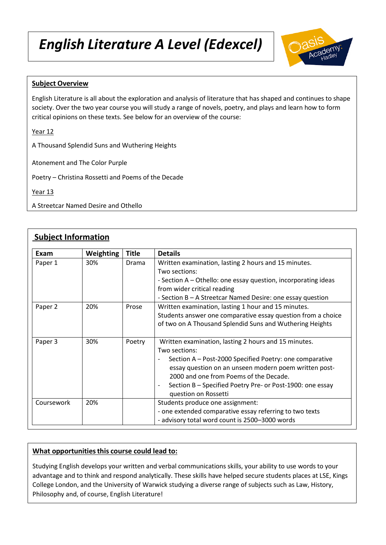# *English Literature A Level (Edexcel)*



## **Subject Overview**

English Literature is all about the exploration and analysis of literature that has shaped and continues to shape society. Over the two year course you will study a range of novels, poetry, and plays and learn how to form critical opinions on these texts. See below for an overview of the course:

Year 12

A Thousand Splendid Suns and Wuthering Heights

Atonement and The Color Purple

Poetry – Christina Rossetti and Poems of the Decade

Year 13

A Streetcar Named Desire and Othello

# **Subject Information**

| Exam               | <b>Weighting</b> | <b>Title</b> | <b>Details</b>                                                                                                                                                                                                                                                                                                           |
|--------------------|------------------|--------------|--------------------------------------------------------------------------------------------------------------------------------------------------------------------------------------------------------------------------------------------------------------------------------------------------------------------------|
| Paper 1<br>Paper 2 | 30%              | Drama        | Written examination, lasting 2 hours and 15 minutes.<br>Two sections:<br>- Section A - Othello: one essay question, incorporating ideas<br>from wider critical reading                                                                                                                                                   |
|                    | 20%              | Prose        | - Section B - A Streetcar Named Desire: one essay question<br>Written examination, lasting 1 hour and 15 minutes.                                                                                                                                                                                                        |
|                    |                  |              | Students answer one comparative essay question from a choice<br>of two on A Thousand Splendid Suns and Wuthering Heights                                                                                                                                                                                                 |
| Paper 3            | 30%              | Poetry       | Written examination, lasting 2 hours and 15 minutes.<br>Two sections:<br>Section A - Post-2000 Specified Poetry: one comparative<br>essay question on an unseen modern poem written post-<br>2000 and one from Poems of the Decade.<br>Section B - Specified Poetry Pre- or Post-1900: one essay<br>question on Rossetti |
| Coursework         | 20%              |              | Students produce one assignment:<br>- one extended comparative essay referring to two texts<br>- advisory total word count is 2500-3000 words                                                                                                                                                                            |

#### **What opportunities this course could lead to:**

Studying English develops your written and verbal communications skills, your ability to use words to your advantage and to think and respond analytically. These skills have helped secure students places at LSE, Kings College London, and the University of Warwick studying a diverse range of subjects such as Law, History, Philosophy and, of course, English Literature!